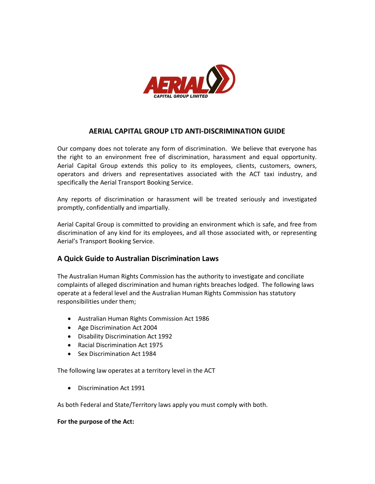

## AERIAL CAPITAL GROUP LTD ANTI-DISCRIMINATION GUIDE

Our company does not tolerate any form of discrimination. We believe that everyone has the right to an environment free of discrimination, harassment and equal opportunity. Aerial Capital Group extends this policy to its employees, clients, customers, owners, operators and drivers and representatives associated with the ACT taxi industry, and specifically the Aerial Transport Booking Service.

Any reports of discrimination or harassment will be treated seriously and investigated promptly, confidentially and impartially.

Aerial Capital Group is committed to providing an environment which is safe, and free from discrimination of any kind for its employees, and all those associated with, or representing Aerial's Transport Booking Service.

## A Quick Guide to Australian Discrimination Laws

The Australian Human Rights Commission has the authority to investigate and conciliate complaints of alleged discrimination and human rights breaches lodged. The following laws operate at a federal level and the Australian Human Rights Commission has statutory responsibilities under them;

- Australian Human Rights Commission Act 1986
- Age Discrimination Act 2004
- Disability Discrimination Act 1992
- Racial Discrimination Act 1975
- Sex Discrimination Act 1984

The following law operates at a territory level in the ACT

Discrimination Act 1991

As both Federal and State/Territory laws apply you must comply with both.

#### For the purpose of the Act: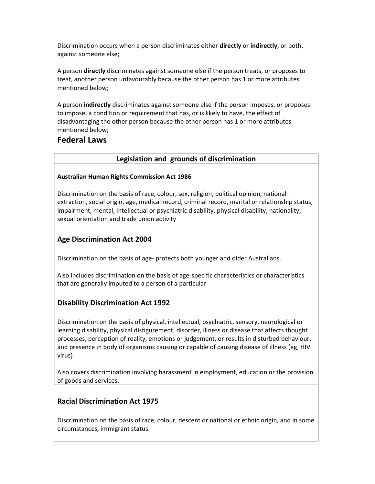Discrimination occurs when a person discriminates either **directly** or indirectly, or both, against someone else;

A person directly discriminates against someone else if the person treats, or proposes to treat, another person unfavourably because the other person has 1 or more attributes mentioned below;

A person indirectly discriminates against someone else if the person imposes, or proposes to impose, a condition or requirement that has, or is likely to have, the effect of disadvantaging the other person because the other person has 1 or more attributes mentioned below;

# Federal Laws

## Legislation and grounds of discrimination

#### Australian Human Rights Commission Act 1986

Discrimination on the basis of race, colour, sex, religion, political opinion, national extraction, social origin, age, medical record, criminal record, marital or relationship status, impairment, mental, intellectual or psychiatric disability, physical disability, nationality, sexual orientation and trade union activity

# Age Discrimination Act 2004

Discrimination on the basis of age- protects both younger and older Australians.

Also includes discrimination on the basis of age-specific characteristics or characteristics that are generally imputed to a person of a particular

## Disability Discrimination Act 1992

Discrimination on the basis of physical, intellectual, psychiatric, sensory, neurological or learning disability, physical disfigurement, disorder, illness or disease that affects thought processes, perception of reality, emotions or judgement, or results in disturbed behaviour, and presence in body of organisms causing or capable of causing disease of illness (eg, HIV virus)

Also covers discrimination involving harassment in employment, education or the provision of goods and services.

## Racial Discrimination Act 1975

Discrimination on the basis of race, colour, descent or national or ethnic origin, and in some circumstances, immigrant status.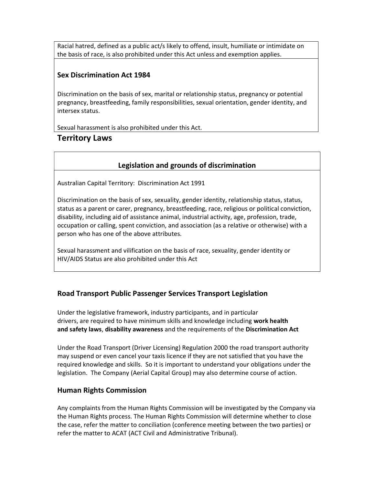Racial hatred, defined as a public act/s likely to offend, insult, humiliate or intimidate on the basis of race, is also prohibited under this Act unless and exemption applies.

## Sex Discrimination Act 1984

Discrimination on the basis of sex, marital or relationship status, pregnancy or potential pregnancy, breastfeeding, family responsibilities, sexual orientation, gender identity, and intersex status.

Sexual harassment is also prohibited under this Act.

## Territory Laws

## Legislation and grounds of discrimination

Australian Capital Territory: Discrimination Act 1991

Discrimination on the basis of sex, sexuality, gender identity, relationship status, status, status as a parent or carer, pregnancy, breastfeeding, race, religious or political conviction, disability, including aid of assistance animal, industrial activity, age, profession, trade, occupation or calling, spent conviction, and association (as a relative or otherwise) with a person who has one of the above attributes.

Sexual harassment and vilification on the basis of race, sexuality, gender identity or HIV/AIDS Status are also prohibited under this Act

## Road Transport Public Passenger Services Transport Legislation

Under the legislative framework, industry participants, and in particular drivers, are required to have minimum skills and knowledge including work health and safety laws, disability awareness and the requirements of the Discrimination Act

Under the Road Transport (Driver Licensing) Regulation 2000 the road transport authority may suspend or even cancel your taxis licence if they are not satisfied that you have the required knowledge and skills. So it is important to understand your obligations under the legislation. The Company (Aerial Capital Group) may also determine course of action.

## Human Rights Commission

Any complaints from the Human Rights Commission will be investigated by the Company via the Human Rights process. The Human Rights Commission will determine whether to close the case, refer the matter to conciliation (conference meeting between the two parties) or refer the matter to ACAT (ACT Civil and Administrative Tribunal).